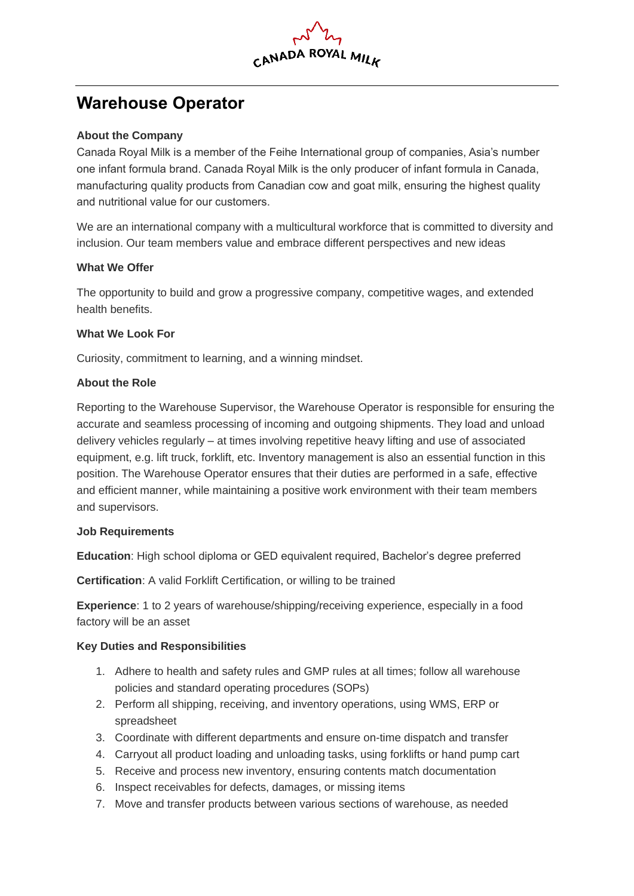

# **Warehouse Operator**

## **About the Company**

Canada Royal Milk is a member of the Feihe International group of companies, Asia's number one infant formula brand. Canada Royal Milk is the only producer of infant formula in Canada, manufacturing quality products from Canadian cow and goat milk, ensuring the highest quality and nutritional value for our customers.

We are an international company with a multicultural workforce that is committed to diversity and inclusion. Our team members value and embrace different perspectives and new ideas

## **What We Offer**

The opportunity to build and grow a progressive company, competitive wages, and extended health benefits.

## **What We Look For**

Curiosity, commitment to learning, and a winning mindset.

## **About the Role**

Reporting to the Warehouse Supervisor, the Warehouse Operator is responsible for ensuring the accurate and seamless processing of incoming and outgoing shipments. They load and unload delivery vehicles regularly – at times involving repetitive heavy lifting and use of associated equipment, e.g. lift truck, forklift, etc. Inventory management is also an essential function in this position. The Warehouse Operator ensures that their duties are performed in a safe, effective and efficient manner, while maintaining a positive work environment with their team members and supervisors.

#### **Job Requirements**

**Education**: High school diploma or GED equivalent required, Bachelor's degree preferred

**Certification**: A valid Forklift Certification, or willing to be trained

**Experience**: 1 to 2 years of warehouse/shipping/receiving experience, especially in a food factory will be an asset

#### **Key Duties and Responsibilities**

- 1. Adhere to health and safety rules and GMP rules at all times; follow all warehouse policies and standard operating procedures (SOPs)
- 2. Perform all shipping, receiving, and inventory operations, using WMS, ERP or spreadsheet
- 3. Coordinate with different departments and ensure on-time dispatch and transfer
- 4. Carryout all product loading and unloading tasks, using forklifts or hand pump cart
- 5. Receive and process new inventory, ensuring contents match documentation
- 6. Inspect receivables for defects, damages, or missing items
- 7. Move and transfer products between various sections of warehouse, as needed